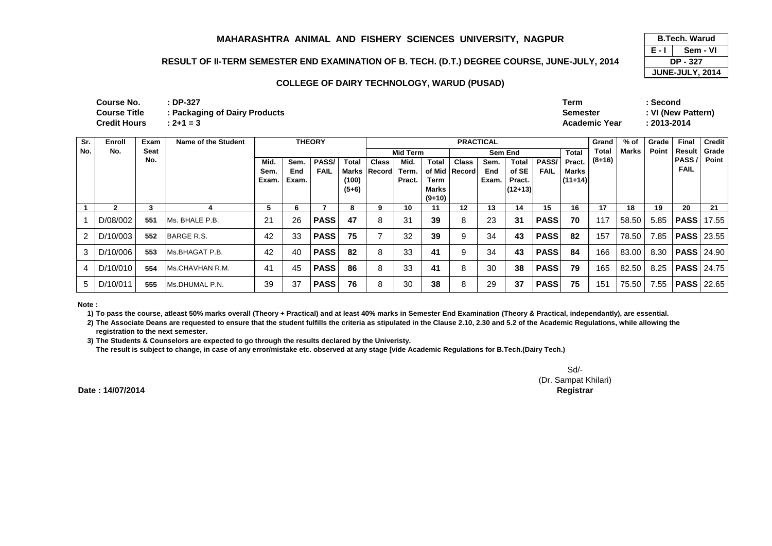### **RESULT OF II-TERM SEMESTER END EXAMINATION OF B. TECH. (D.T.) DEGREE COURSE, JUNE-JULY, 2014**

#### **COLLEGE OF DAIRY TECHNOLOGY, WARUD (PUSAD)**

| Course No.   | $\cdot$ DP-327                | Term            | Second             |
|--------------|-------------------------------|-----------------|--------------------|
| Course Title | : Packaging of Dairy Products | <b>Semester</b> | : VI (New Pattern) |
| Credit Hours | $: 2 + 1 = 3$                 | Academic Year   | : 2013-2014        |

| Sr. | Enroll       | Exam        | Name of the Student    |       | <b>THEORY</b> |              |         |                | <b>PRACTICAL</b> |          |                 |       |           |              |           |          | % of         | Grade | <b>Final</b>      | Credit |
|-----|--------------|-------------|------------------------|-------|---------------|--------------|---------|----------------|------------------|----------|-----------------|-------|-----------|--------------|-----------|----------|--------------|-------|-------------------|--------|
| No. | No.          | <b>Seat</b> |                        |       |               |              |         |                | <b>Mid Term</b>  |          |                 |       | Sem End   |              | Total     | Total    | <b>Marks</b> | Point | Result            | Grade  |
|     |              | No.         |                        | Mid.  | Sem.          | <b>PASS/</b> | Total   | <b>Class</b>   | Mid.             | Total    | <b>Class</b>    | Sem.  | Total     | <b>PASS/</b> | Pract.    | $(8+16)$ |              |       | PASS/             | Point  |
|     |              |             |                        | Sem.  | End           | <b>FAIL</b>  |         | Marks   Record | Term.            |          | of Mid   Record | End   | of SE     | <b>FAIL</b>  | Marks     |          |              |       | <b>FAIL</b>       |        |
|     |              |             |                        | Exam. | Exam.         |              | (100)   |                | Pract.           | Term     |                 | Exam. | Pract.    |              | $(11+14)$ |          |              |       |                   |        |
|     |              |             |                        |       |               |              | $(5+6)$ |                |                  | Marks    |                 |       | $(12+13)$ |              |           |          |              |       |                   |        |
|     |              |             |                        |       |               |              |         |                |                  | $(9+10)$ |                 |       |           |              |           |          |              |       |                   |        |
|     | $\mathbf{2}$ | 3           |                        | 5     | 6             |              | 8       | 9              | 10               | 11       | 12              | 13    | 14        | 15           | 16        | 17       | 18           | 19    | 20                | 21     |
|     | D/08/002     | 551         | IMs. BHALE P.B.        | 21    | 26            | <b>PASS</b>  | 47      | 8              | 31               | 39       | 8               | 23    | 31        | <b>PASS</b>  | 70        | 117      | 58.50        | 5.85  | PASS              | 17.55  |
|     | D/10/003     | 552         | BARGE R.S.             | 42    | 33            | <b>PASS</b>  | 75      |                | 32               | 39       | 9               | 34    | 43        | <b>PASS</b>  | 82        | 157      | 78.50        | 7.85  | <b>PASS</b> 23.55 |        |
| 3   | D/10/006     | 553         | Ms.BHAGAT P.B.         | 42    | 40            | <b>PASS</b>  | 82      | 8              | 33               | 41       | 9               | 34    | 43        | <b>PASS</b>  | 84        | 166      | 83.00        | 8.30  | <b>PASS</b> 24.90 |        |
| 4   | D/10/010     | 554         | <b>Ms.CHAVHAN R.M.</b> | 41    | 45            | <b>PASS</b>  | 86      | 8              | 33               | 41       | 8               | 30    | 38        | <b>PASS</b>  | 79        | 165      | 82.50        | 8.25  | <b>PASSI</b>      | 24.75  |
| 5   | D/10/011     | 555         | Ms.DHUMAL P.N.         | 39    | 37            | <b>PASS</b>  | 76      | 8              | 30               | 38       | 8               | 29    | 37        | <b>PASS</b>  | 75        | 151      | 75.50        | 7.55  | <b>PASS</b>       | 22.65  |

**Note :**

**1) To pass the course, atleast 50% marks overall (Theory + Practical) and at least 40% marks in Semester End Examination (Theory & Practical, independantly), are essential.** 

2) The Associate Deans are requested to ensure that the student fulfills the criteria as stipulated in the Clause 2.10, 2.30 and 5.2 of the Academic Regulations, while allowing the **registration to the next semester.**

 **3) The Students & Counselors are expected to go through the results declared by the Univeristy. The result is subject to change, in case of any error/mistake etc. observed at any stage [vide Academic Regulations for B.Tech.(Dairy Tech.)**

> Sd/- (Dr. Sampat Khilari)**Registrar**

**Date : 14/07/2014Controller of Examinations** **E - I JUNE-JULY, 2014 B.Tech. Warud (Pusad) Sem - VIDP - 327**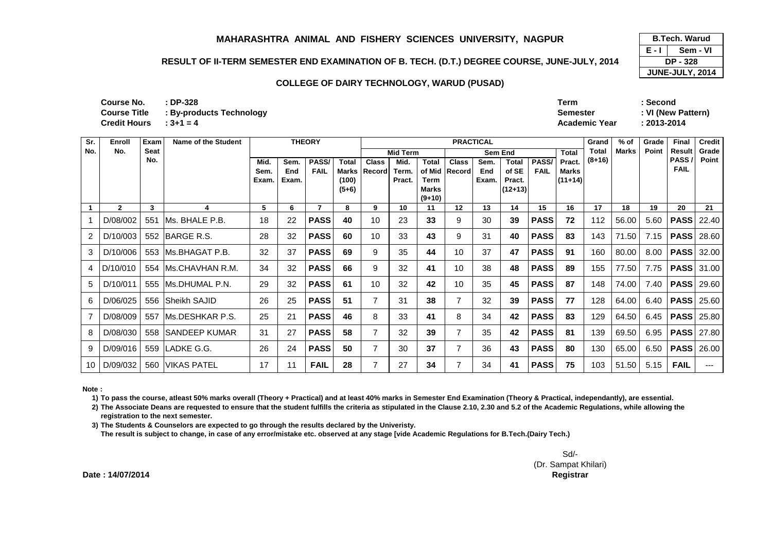### **RESULT OF II-TERM SEMESTER END EXAMINATION OF B. TECH. (D.T.) DEGREE COURSE, JUNE-JULY, 2014**

#### **COLLEGE OF DAIRY TECHNOLOGY, WARUD (PUSAD)**

| R                    |          | <b>B.Tech. Warud</b> |  |  |  |  |
|----------------------|----------|----------------------|--|--|--|--|
|                      | E - L    | Sem - VI             |  |  |  |  |
| <b>NE-JULY, 2014</b> | DP - 328 |                      |  |  |  |  |
|                      |          | JUNE-JULY, 2014      |  |  |  |  |

| Course No.             | : DP-328                              | Term          | Second             |
|------------------------|---------------------------------------|---------------|--------------------|
|                        | Course Title : By-products Technology | Semester      | : VI (New Pattern) |
| Credit Hours : $3+1=4$ |                                       | Academic Year | $: 2013 - 2014$    |

| Sr. | Enroll       | Exam        | Name of the Student   |                       |                      | <b>THEORY</b>        |                                  | <b>PRACTICAL</b>             |                         |                                                         |                               |                      |                                              |                      |                              | Grand        | $%$ of       | Grade        | Final                | <b>Credit</b>     |
|-----|--------------|-------------|-----------------------|-----------------------|----------------------|----------------------|----------------------------------|------------------------------|-------------------------|---------------------------------------------------------|-------------------------------|----------------------|----------------------------------------------|----------------------|------------------------------|--------------|--------------|--------------|----------------------|-------------------|
| No. | No.          | <b>Seat</b> |                       |                       |                      |                      |                                  |                              | <b>Mid Term</b>         |                                                         |                               |                      | Sem End                                      |                      | Total                        | <b>Total</b> | <b>Marks</b> | <b>Point</b> | <b>Result</b>        | Grade             |
|     |              | No.         |                       | Mid.<br>Sem.<br>Exam. | Sem.<br>End<br>Exam. | PASS/<br><b>FAIL</b> | <b>Total</b><br>(100)<br>$(5+6)$ | <b>Class</b><br>Marks Record | Mid.<br>Term.<br>Pract. | <b>Total</b><br><b>Term</b><br><b>Marks</b><br>$(9+10)$ | <b>Class</b><br>of Mid Record | Sem.<br>End<br>Exam. | <b>Total</b><br>of SE<br>Pract.<br>$(12+13)$ | PASS/<br><b>FAIL</b> | Pract.<br>Marks<br>$(11+14)$ | $(8+16)$     |              |              | PASS/<br><b>FAIL</b> | Point             |
|     | $\mathbf{2}$ | 3           | 4                     | 5                     | 6                    |                      | 8                                | 9                            | 10                      | 11                                                      | 12                            | 13                   | 14                                           | 15                   | 16                           | 17           | 18           | 19           | 20                   | 21                |
|     | D/08/002     | 551         | IMs. BHALE P.B.       | 18                    | 22                   | <b>PASS</b>          | 40                               | 10                           | 23                      | 33                                                      | 9                             | 30                   | 39                                           | <b>PASS</b>          | 72                           | 112          | 56.00        | 5.60         | <b>PASS</b>          | 22.40             |
| 2   | D/10/003     |             | 552 BARGE R.S.        | 28                    | 32                   | <b>PASS</b>          | 60                               | 10                           | 33                      | 43                                                      | 9                             | 31                   | 40                                           | <b>PASS</b>          | 83                           | 143          | 71.50        | 7.15         | <b>PASS</b>          | 28.60             |
| 3   | D/10/006     |             | 553 IMs.BHAGAT P.B.   | 32                    | 37                   | <b>PASS</b>          | 69                               | 9                            | 35                      | 44                                                      | 10                            | 37                   | 47                                           | <b>PASS</b>          | 91                           | 160          | 80.00        | 8.00         | <b>PASS</b>          | 32.00             |
| 4   | D/10/010     |             | 554 IMs.CHAVHAN R.M.  | 34                    | 32                   | <b>PASS</b>          | 66                               | 9                            | 32                      | 41                                                      | 10                            | 38                   | 48                                           | <b>PASS</b>          | 89                           | 155          | 77.50        | 7.75         |                      | <b>PASS</b> 31.00 |
| 5   | D/10/011     |             | 555 IMs.DHUMAL P.N.   | 29                    | 32                   | <b>PASS</b>          | 61                               | 10                           | 32                      | 42                                                      | 10                            | 35                   | 45                                           | <b>PASS</b>          | 87                           | 148          | 74.00        | 7.40         | <b>PASS</b>          | 29.60             |
| 6   | D/06/025     | 556         | <b>Sheikh SAJID</b>   | 26                    | 25                   | <b>PASS</b>          | 51                               | 7                            | 31                      | 38                                                      | $\overline{7}$                | 32                   | 39                                           | <b>PASS</b>          | 77                           | 128          | 64.00        | 6.40         | <b>PASS</b> 25.60    |                   |
|     | D/08/009     |             | 557 IMs.DESHKAR P.S.  | 25                    | 21                   | <b>PASS</b>          | 46                               | 8                            | 33                      | 41                                                      | 8                             | 34                   | 42                                           | <b>PASS</b>          | 83                           | 129          | 64.50        | 6.45         | <b>PASS</b>          | 25.80             |
| 8   | D/08/030     | 558         | <b>ISANDEEP KUMAR</b> | 31                    | 27                   | <b>PASS</b>          | 58                               | $\overline{7}$               | 32                      | 39                                                      | $\overline{7}$                | 35                   | 42                                           | <b>PASS</b>          | 81                           | 139          | 69.50        | 6.95         | <b>PASS</b>          | 27.80             |
| 9   | D/09/016     |             | 559   LADKE G.G.      | 26                    | 24                   | <b>PASS</b>          | 50                               |                              | 30                      | 37                                                      | $\overline{7}$                | 36                   | 43                                           | <b>PASS</b>          | 80                           | 130          | 65.00        | 6.50         | <b>PASS</b>          | 26.00             |
| 10  | D/09/032     | 560         | <b>IVIKAS PATEL</b>   | 17                    | 11                   | <b>FAIL</b>          | 28                               |                              | 27                      | 34                                                      | $\overline{7}$                | 34                   | 41                                           | <b>PASS</b>          | 75                           | 103          | 51.50        | 5.15         | <b>FAIL</b>          | ---               |

**Note :**

**1) To pass the course, atleast 50% marks overall (Theory + Practical) and at least 40% marks in Semester End Examination (Theory & Practical, independantly), are essential.** 

**2) The Associate Deans are requested to ensure that the student fulfills the criteria as stipulated in the Clause 2.10, 2.30 and 5.2 of the Academic Regulations, while allowing the registration to the next semester.**

**3) The Students & Counselors are expected to go through the results declared by the Univeristy.** 

**The result is subject to change, in case of any error/mistake etc. observed at any stage [vide Academic Regulations for B.Tech.(Dairy Tech.)**

Sd/- (Dr. Sampat Khilari)**Controller of Examinations Registrar**

**Date : 14/07/2014**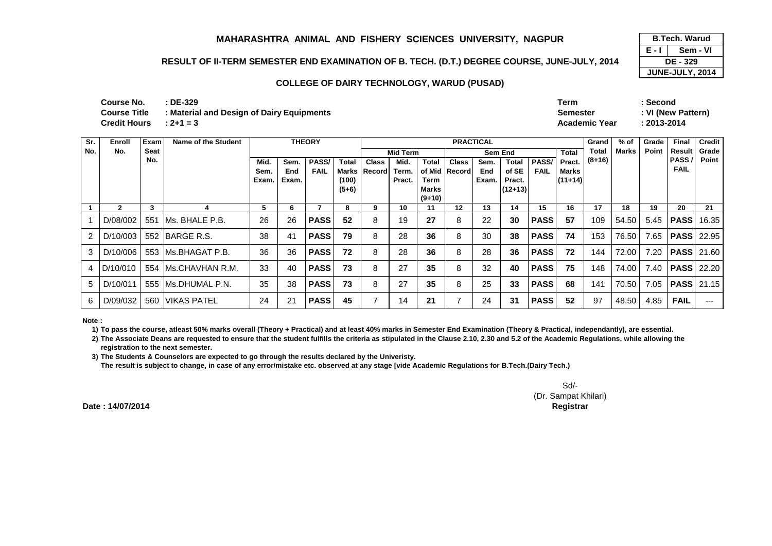### **RESULT OF II-TERM SEMESTER END EXAMINATION OF B. TECH. (D.T.) DEGREE COURSE, JUNE-JULY, 2014**

**E - I DE - 329 JUNE-JULY, 2014 B.Tech. Warud (Pusad) Sem - VI**

#### **COLLEGE OF DAIRY TECHNOLOGY, WARUD (PUSAD)**

| Course No.             | $:$ DE-329                                | Term                 | Second             |
|------------------------|-------------------------------------------|----------------------|--------------------|
| Course Title           | : Material and Design of Dairy Equipments | <b>Semester</b>      | : VI (New Pattern) |
| Credit Hours : $2+1=3$ |                                           | <b>Academic Year</b> | 2013-2014          |
|                        |                                           |                      |                    |

| Sr. | Enroll   | Exam | Name of the Student  | <b>THEORY</b> |       |             |              |                     | <b>PRACTICAL</b> |              |               |       |              |             |              | Grand    | % of  | Grade | Final             | <b>Credit</b> |
|-----|----------|------|----------------------|---------------|-------|-------------|--------------|---------------------|------------------|--------------|---------------|-------|--------------|-------------|--------------|----------|-------|-------|-------------------|---------------|
| No. | No.      | Seat |                      |               |       |             |              |                     | Mid Term         |              |               |       | Sem End      |             | <b>Total</b> | Total    | Marks | Point | Result            | Grade         |
|     |          | No.  |                      | Mid.          | Sem.  | PASS/       | <b>Total</b> | <b>Class</b>        | Mid.             | <b>Total</b> | <b>Class</b>  | Sem.  | <b>Total</b> | PASS/       | Pract.       | $(8+16)$ |       |       | PASS              | Point         |
|     |          |      |                      | Sem.          | End   | <b>FAIL</b> |              | <b>Marks Record</b> | Term.            |              | of Mid Record | End   | of SE        | <b>FAIL</b> | <b>Marks</b> |          |       |       | <b>FAIL</b>       |               |
|     |          |      |                      | Exam.         | Exam. |             | (100)        |                     | Pract.           | <b>Term</b>  |               | Exam. | Pract.       |             | $(11+14)$    |          |       |       |                   |               |
|     |          |      |                      |               |       |             | $(5+6)$      |                     |                  | <b>Marks</b> |               |       | $(12+13)$    |             |              |          |       |       |                   |               |
|     |          |      |                      |               |       |             |              |                     |                  | $(9+10)$     |               |       |              |             |              |          |       |       |                   |               |
|     | 2        | 3    |                      | 5             | 6     |             | 8            | 9                   | 10               | 11           | 12            | 13    | 14           | 15          | 16           | 17       | 18    | 19    | 20                | 21            |
|     | D/08/002 | 551  | IMs. BHALE P.B.      | 26            | 26    | <b>PASS</b> | 52           | 8                   | 19               | 27           | 8             | 22    | 30           | <b>PASS</b> | 57           | 109      | 54.50 | 5.45  | <b>PASS</b>       | 16.35         |
| 2   | D/10/003 |      | 552 IBARGE R.S.      | 38            | 41    | <b>PASS</b> | 79           | 8                   | 28               | 36           | 8             | 30    | 38           | <b>PASS</b> | 74           | 153      | 76.50 | 7.65  | <b>PASS</b> 22.95 |               |
| 3   | D/10/006 |      | 553 IMs.BHAGAT P.B.  | 36            | 36    | <b>PASS</b> | 72           | 8                   | 28               | 36           | 8             | 28    | 36           | <b>PASS</b> | 72           | 144      | 72.00 | 7.20  | <b>PASS</b> 21.60 |               |
|     | D/10/010 |      | 554 IMs.CHAVHAN R.M. | 33            | 40    | <b>PASS</b> | 73           | 8                   | 27               | 35           | 8             | 32    | 40           | <b>PASS</b> | 75           | 148      | 74.00 | 7.40  | <b>PASS 22.20</b> |               |
| 5   | D/10/011 |      | 555 IMs.DHUMAL P.N.  | 35            | 38    | <b>PASS</b> | 73           | 8                   | 27               | 35           | 8             | 25    | 33           | <b>PASS</b> | 68           | 141      | 70.50 | 7.05  | <b>PASS</b> 21.15 |               |
| 6   | D/09/032 | 560  | <b>VIKAS PATEL</b>   | 24            | 21    | <b>PASS</b> | 45           |                     | 14               | 21           |               | 24    | 31           | <b>PASS</b> | 52           | 97       | 48.50 | 4.85  | <b>FAIL</b>       | $---$         |

**Note :**

**1) To pass the course, atleast 50% marks overall (Theory + Practical) and at least 40% marks in Semester End Examination (Theory & Practical, independantly), are essential.** 

2) The Associate Deans are requested to ensure that the student fulfills the criteria as stipulated in the Clause 2.10, 2.30 and 5.2 of the Academic Regulations, while allowing the **registration to the next semester.**

**3) The Students & Counselors are expected to go through the results declared by the Univeristy.** 

**The result is subject to change, in case of any error/mistake etc. observed at any stage [vide Academic Regulations for B.Tech.(Dairy Tech.)**

Sd/- (Dr. Sampat Khilari)**Controller of Examinations Registrar**

**Date : 14/07/2014**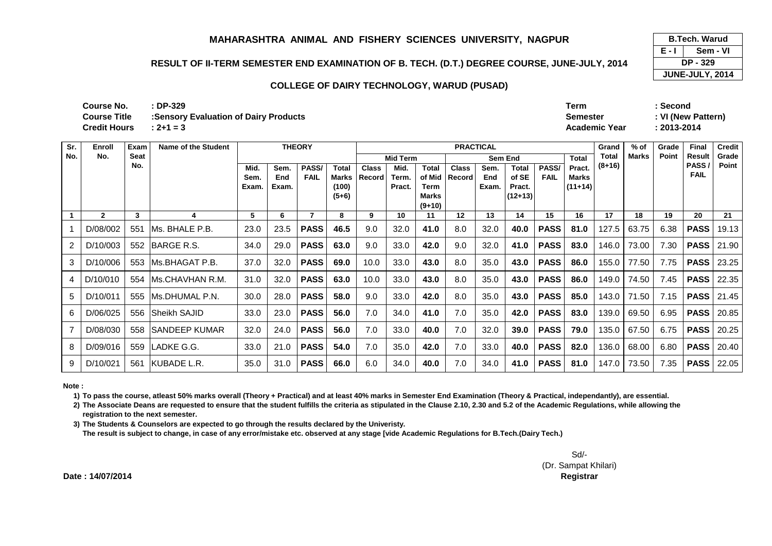### **RESULT OF II-TERM SEMESTER END EXAMINATION OF B. TECH. (D.T.) DEGREE COURSE, JUNE-JULY, 2014**

### **COLLEGE OF DAIRY TECHNOLOGY, WARUD (PUSAD)**

**E - I JUNE-JULY, 2014 B.Tech. Warud (Pusad) Sem - VIDP - 329**

**: DP-329 Term : Second: 2+1 = 3 Academic Year : 2013-2014 Course No.Course Title Course Title :Sensory Evaluation of Dairy ProductsCredit Hours**

**Semester : VI (New Pattern)**

| Sr. | Enroll       | Exam | Name of the Student   |       | <b>THEORY</b> |             |                  |              | <b>PRACTICAL</b> |                             |                 |       |                     |             |              | Grand    | $%$ of | Grade | Final               | Credit |
|-----|--------------|------|-----------------------|-------|---------------|-------------|------------------|--------------|------------------|-----------------------------|-----------------|-------|---------------------|-------------|--------------|----------|--------|-------|---------------------|--------|
| No. | No.          | Seat |                       |       |               |             |                  |              | <b>Mid Term</b>  |                             |                 |       | <b>Sem End</b>      |             | <b>Total</b> | Total    | Marks  | Point | Result              | Grade  |
|     |              | No.  |                       | Mid.  | Sem.          | PASS/       | <b>Total</b>     | <b>Class</b> | Mid.             | <b>Total</b>                | <b>Class</b>    | Sem.  | <b>Total</b>        | PASS/       | Pract.       | $(8+16)$ |        |       | PASS<br><b>FAIL</b> | Point  |
|     |              |      |                       | Sem.  | End           | <b>FAIL</b> | Marks            | Record       | Term.            | of Mid                      | Record          | End   | of SE               | <b>FAIL</b> | Marks        |          |        |       |                     |        |
|     |              |      |                       | Exam. | Exam.         |             | (100)<br>$(5+6)$ |              | Pract.           | <b>Term</b><br><b>Marks</b> |                 | Exam. | Pract.<br>$(12+13)$ |             | $(11+14)$    |          |        |       |                     |        |
|     |              |      |                       |       |               |             |                  |              |                  | $(9+10)$                    |                 |       |                     |             |              |          |        |       |                     |        |
|     | $\mathbf{2}$ | 3    | 4                     | 5     | 6             |             | 8                | 9            | 10               | 11                          | 12 <sup>2</sup> | 13    | 14                  | 15          | 16           | 17       | 18     | 19    | 20                  | 21     |
|     | D/08/002     | 551  | IMs. BHALE P.B.       | 23.0  | 23.5          | <b>PASS</b> | 46.5             | 9.0          | 32.0             | 41.0                        | 8.0             | 32.0  | 40.0                | <b>PASS</b> | 81.0         | 127.5    | 63.75  | 6.38  | <b>PASS</b>         | 19.13  |
| 2   | D/10/003     | 552  | <b>IBARGE R.S.</b>    | 34.0  | 29.0          | <b>PASS</b> | 63.0             | 9.0          | 33.0             | 42.0                        | 9.0             | 32.0  | 41.0                | <b>PASS</b> | 83.0         | 146.0    | 73.00  | 7.30  | <b>PASS</b>         | 21.90  |
| 3   | D/10/006     | 553  | IMs.BHAGAT P.B.       | 37.0  | 32.0          | <b>PASS</b> | 69.0             | 10.0         | 33.0             | 43.0                        | 8.0             | 35.0  | 43.0                | <b>PASS</b> | 86.0         | 155.0    | 77.50  | 7.75  | <b>PASS</b>         | 23.25  |
| 4   | D/10/010     | 554  | IMs.CHAVHAN R.M.      | 31.0  | 32.0          | <b>PASS</b> | 63.0             | 10.0         | 33.0             | 43.0                        | 8.0             | 35.0  | 43.0                | <b>PASS</b> | 86.0         | 149.0    | 74.50  | 7.45  | <b>PASS</b>         | 22.35  |
| 5   | D/10/011     | 555  | IMs.DHUMAL P.N.       | 30.0  | 28.0          | <b>PASS</b> | 58.0             | 9.0          | 33.0             | 42.0                        | 8.0             | 35.0  | 43.0                | <b>PASS</b> | 85.0         | 143.0    | 71.50  | 7.15  | <b>PASS</b>         | 21.45  |
| 6   | D/06/025     | 556  | <b>Sheikh SAJID</b>   | 33.0  | 23.0          | <b>PASS</b> | 56.0             | 7.0          | 34.0             | 41.0                        | 7.0             | 35.0  | 42.0                | <b>PASS</b> | 83.0         | 139.0    | 69.50  | 6.95  | <b>PASS</b>         | 20.85  |
|     | D/08/030     | 558  | <b>ISANDEEP KUMAR</b> | 32.0  | 24.0          | <b>PASS</b> | 56.0             | 7.0          | 33.0             | 40.0                        | 7.0             | 32.0  | 39.0                | <b>PASS</b> | 79.0         | 135.0    | 67.50  | 6.75  | <b>PASS</b>         | 20.25  |
| 8   | D/09/016     | 559  | ILADKE G.G.           | 33.0  | 21.0          | <b>PASS</b> | 54.0             | 7.0          | 35.0             | 42.0                        | 7.0             | 33.0  | 40.0                | <b>PASS</b> | 82.0         | 136.0    | 68.00  | 6.80  | <b>PASS</b>         | 20.40  |
| 9   | D/10/021     | 561  | <b>IKUBADE L.R.</b>   | 35.0  | 31.0          | <b>PASS</b> | 66.0             | 6.0          | 34.0             | 40.0                        | 7.0             | 34.0  | 41.0                | <b>PASS</b> | 81.0         | 147.0    | 73.50  | 7.35  | <b>PASS</b>         | 22.05  |

**Note :**

**1) To pass the course, atleast 50% marks overall (Theory + Practical) and at least 40% marks in Semester End Examination (Theory & Practical, independantly), are essential.** 

**2) The Associate Deans are requested to ensure that the student fulfills the criteria as stipulated in the Clause 2.10, 2.30 and 5.2 of the Academic Regulations, while allowing the registration to the next semester.**

**3) The Students & Counselors are expected to go through the results declared by the Univeristy. The result is subject to change, in case of any error/mistake etc. observed at any stage [vide Academic Regulations for B.Tech.(Dairy Tech.)**

> Sd/- (Dr. Sampat Khilari)**Controller of Examinations Registrar**

**Date : 14/07/2014**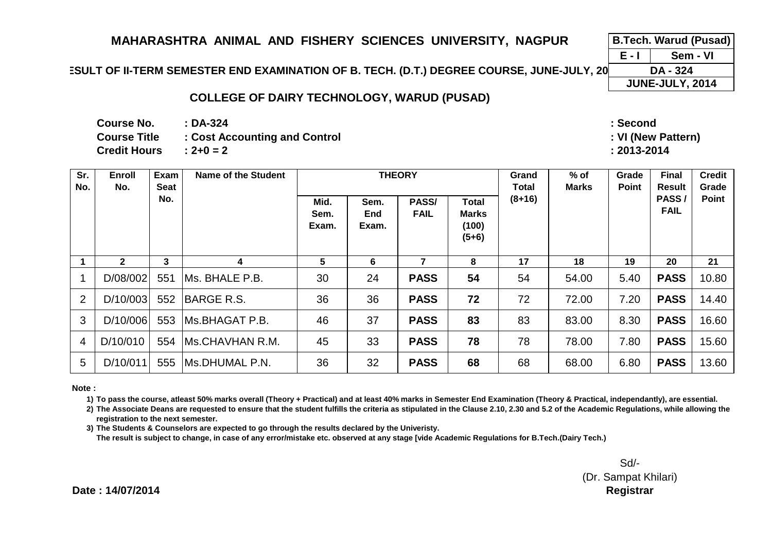**E - I B.Tech. Warud (Pusad)Sem - VIDA - 324**

# **ESULT OF II-TERM SEMESTER END EXAMINATION OF B. TECH. (D.T.) DEGREE COURSE, JUNE-JULY, 20**

## **COLLEGE OF DAIRY TECHNOLOGY, WARUD (PUSAD)**

**: DA-324Course No.**

**Credit Hours**

**Course Title : Cost Accounting and Control** 

**: 2+0 = 2**

 **: Second: VI (New Pattern)**

**: 2013-2014**

| Sr.<br>No.     | <b>Enroll</b><br>No. | Exam<br>Seat | <b>Name of the Student</b> |                       |                      | <b>THEORY</b>        |                                                  | Grand<br>Total | $%$ of<br><b>Marks</b> | Grade<br>Point | <b>Final</b><br><b>Result</b> | <b>Credit</b><br>Grade |
|----------------|----------------------|--------------|----------------------------|-----------------------|----------------------|----------------------|--------------------------------------------------|----------------|------------------------|----------------|-------------------------------|------------------------|
|                |                      | No.          |                            | Mid.<br>Sem.<br>Exam. | Sem.<br>End<br>Exam. | PASS/<br><b>FAIL</b> | <b>Total</b><br><b>Marks</b><br>(100)<br>$(5+6)$ | $(8+16)$       |                        |                | PASS/<br><b>FAIL</b>          | Point                  |
|                |                      | 3            |                            | 5                     | 6                    |                      | 8                                                | 17             | 18                     | 19             | 20                            | 21                     |
|                | D/08/002             | 551          | IMs. BHALE P.B.            | 30                    | 24                   | <b>PASS</b>          | 54                                               | 54             | 54.00                  | 5.40           | <b>PASS</b>                   | 10.80                  |
| $\overline{2}$ | D/10/003             | 552          | BARGE R.S.                 | 36                    | 36                   | <b>PASS</b>          | 72                                               | 72             | 72.00                  | 7.20           | <b>PASS</b>                   | 14.40                  |
| 3              | D/10/006             | 553          | IMs.BHAGAT P.B.            | 46                    | 37                   | <b>PASS</b>          | 83                                               | 83             | 83.00                  | 8.30           | <b>PASS</b>                   | 16.60                  |
| $\overline{4}$ | D/10/010             | 554          | <b>IMS.CHAVHAN R.M.</b>    | 45                    | 33                   | <b>PASS</b>          | 78                                               | 78             | 78.00                  | 7.80           | <b>PASS</b>                   | 15.60                  |
| 5              | D/10/011             | 555          | <b>Ms.DHUMAL P.N.</b>      | 36                    | 32                   | <b>PASS</b>          | 68                                               | 68             | 68.00                  | 6.80           | <b>PASS</b>                   | 13.60                  |

**Note :**

**1) To pass the course, atleast 50% marks overall (Theory + Practical) and at least 40% marks in Semester End Examination (Theory & Practical, independantly), are essential.** 

**2) The Associate Deans are requested to ensure that the student fulfills the criteria as stipulated in the Clause 2.10, 2.30 and 5.2 of the Academic Regulations, while allowing the registration to the next semester.**

**3) The Students & Counselors are expected to go through the results declared by the Univeristy.** 

**The result is subject to change, in case of any error/mistake etc. observed at any stage [vide Academic Regulations for B.Tech.(Dairy Tech.)**

Sd/- (Dr. Sampat Khilari)**Controller of Examinations Registrar**

**JUNE-JULY, 2014**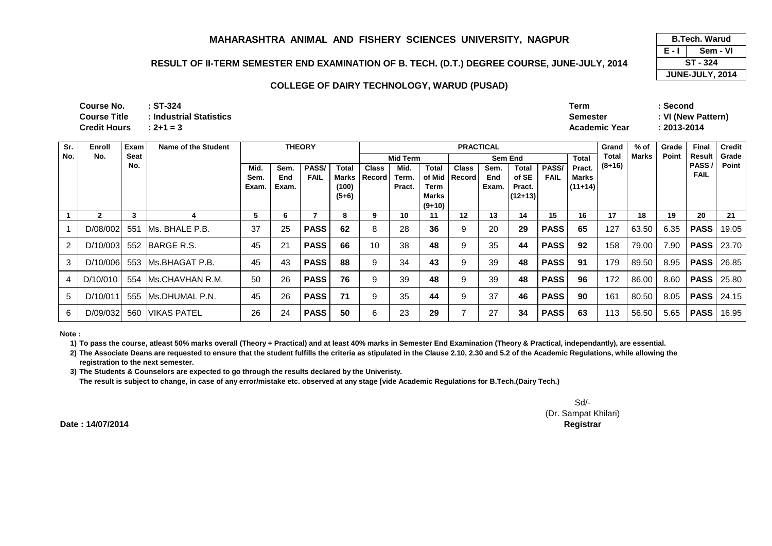### **RESULT OF II-TERM SEMESTER END EXAMINATION OF B. TECH. (D.T.) DEGREE COURSE, JUNE-JULY, 2014**

#### **COLLEGE OF DAIRY TECHNOLOGY, WARUD (PUSAD)**

| Course No.          | $\cdot$ ST-324          | <b>Term</b>          | Second     |
|---------------------|-------------------------|----------------------|------------|
| Course Title        | : Industrial Statistics | Semester             | VI (New Pa |
| <b>Credit Hours</b> | $: 2 + 1 = 3$           | <b>Academic Year</b> | 2013-2014  |

| Sr.            | Enroll         | Exam        | Name of the Student  |       | <b>THEORY</b> |              |         |              | <b>PRACTICAL</b> |                          |              |       |           |              |              |          | $%$ of       | Grade | <b>Final</b> | <b>Credit</b> |
|----------------|----------------|-------------|----------------------|-------|---------------|--------------|---------|--------------|------------------|--------------------------|--------------|-------|-----------|--------------|--------------|----------|--------------|-------|--------------|---------------|
| No.            | No.            | <b>Seat</b> |                      |       |               |              |         |              | Mid Term         |                          |              |       | Sem End   |              | <b>Total</b> | Total    | <b>Marks</b> | Point | Result       | Grade         |
|                |                | No.         |                      | Mid.  | Sem.          | <b>PASS/</b> | Total   | <b>Class</b> | Mid.             | Total                    | <b>Class</b> | Sem.  | Total     | <b>PASS/</b> | Pract.       | $(8+16)$ |              |       | PASS         | Point         |
|                |                |             |                      | Sem.  | End           | <b>FAIL</b>  | Marks   | l Record     | Term.            | of Mid                   | Record       | End   | of SE     | <b>FAIL</b>  | Marks        |          |              |       | <b>FAIL</b>  |               |
|                |                |             |                      | Exam. | Exam.         |              | (100)   |              | Pract.           | Term                     |              | Exam. | Pract.    |              | $(11+14)$    |          |              |       |              |               |
|                |                |             |                      |       |               |              | $(5+6)$ |              |                  | <b>Marks</b><br>$(9+10)$ |              |       | $(12+13)$ |              |              |          |              |       |              |               |
|                | $\overline{2}$ | 3           |                      | 5     | 6             |              | 8       | 9            | 10               | 11                       | 12           | 13    | 14        | 15           | 16           | 17       | 18           | 19    | 20           | 21            |
|                |                |             |                      |       |               |              |         |              |                  |                          |              |       |           |              |              |          |              |       |              |               |
|                | D/08/002       | 551         | IMs. BHALE P.B.      | 37    | 25            | <b>PASS</b>  | 62      | 8            | 28               | 36                       | 9            | 20    | 29        | <b>PASS</b>  | 65           | 127      | 63.50        | 6.35  | <b>PASS</b>  | 19.05         |
| $\overline{2}$ | D/10/003       |             | 552 BARGE R.S.       | 45    | 21            | <b>PASS</b>  | 66      | 10           | 38               | 48                       | 9            | 35    | 44        | <b>PASS</b>  | 92           | 158      | 79.00        | 7.90  | <b>PASS</b>  | 23.70         |
| 3              | D/10/006       | 553         | IMs.BHAGAT P.B.      | 45    | 43            | <b>PASS</b>  | 88      | 9            | 34               | 43                       | 9            | 39    | 48        | <b>PASS</b>  | 91           | 179      | 89.50        | 8.95  | <b>PASS</b>  | 26.85         |
|                | D/10/010       |             | 554 IMs.CHAVHAN R.M. | 50    | 26            | <b>PASS</b>  | 76      | 9            | 39               | 48                       | 9            | 39    | 48        | <b>PASS</b>  | 96           | 172      | 86.00        | 8.60  | <b>PASS</b>  | 25.80         |
| 5              | D/10/011       |             | 555 IMs.DHUMAL P.N.  | 45    | 26            | <b>PASS</b>  | 71      | 9            | 35               | 44                       | 9            | 37    | 46        | <b>PASS</b>  | 90           | 161      | 80.50        | 8.05  | <b>PASS</b>  | 24.15         |
| 6              | D/09/032       |             | 560 VIKAS PATEL      | 26    | 24            | <b>PASS</b>  | 50      | 6            | 23               | 29                       | 7            | 27    | 34        | <b>PASS</b>  | 63           | 113      | 56.50        | 5.65  | <b>PASS</b>  | 16.95         |

**Note :**

**1) To pass the course, atleast 50% marks overall (Theory + Practical) and at least 40% marks in Semester End Examination (Theory & Practical, independantly), are essential.** 

**2) The Associate Deans are requested to ensure that the student fulfills the criteria as stipulated in the Clause 2.10, 2.30 and 5.2 of the Academic Regulations, while allowing the registration to the next semester.**

**3) The Students & Counselors are expected to go through the results declared by the Univeristy.** 

**The result is subject to change, in case of any error/mistake etc. observed at any stage [vide Academic Regulations for B.Tech.(Dairy Tech.)**

Sd/- (Dr. Sampat Khilari)**Controller of Examinations Registrar**

**Date : 14/07/2014**

**E - I JUNE-JULY, 2014 B.Tech. Warud (Pusad) Sem - VIST - 324**

**Semester : VI (New Pattern)**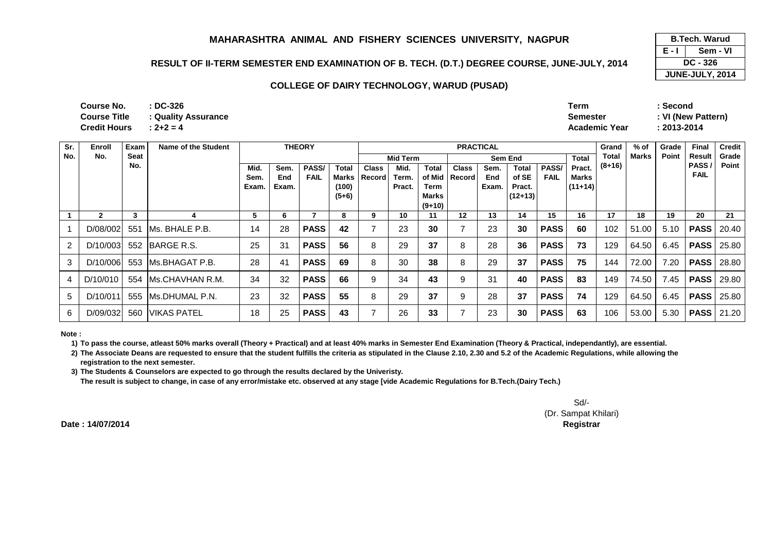### **RESULT OF II-TERM SEMESTER END EXAMINATION OF B. TECH. (D.T.) DEGREE COURSE, JUNE-JULY, 2014**

#### **COLLEGE OF DAIRY TECHNOLOGY, WARUD (PUSAD)**

| <b>Course No.</b>   | : DC-326            | Term                 | Second  |
|---------------------|---------------------|----------------------|---------|
| <b>Course Title</b> | : Quality Assurance | Semester             | VI (New |
| <b>Credit Hours</b> | $: 2 + 2 = 4$       | <b>Academic Year</b> | 2013-20 |

| ∼           | Term                 | Second             |
|-------------|----------------------|--------------------|
| v Assurance | Semester             | : VI (New Pattern) |
|             | <b>Academic Year</b> | $: 2013 - 2014$    |

| Sr. | Enroll         | Exam | Name of the Student |                                            |       | <b>THEORY</b> |         |              |        |                   | <b>PRACTICAL</b> | Grand | % of         | Grade       | <b>Final</b> | <b>Credit</b> |               |       |             |       |
|-----|----------------|------|---------------------|--------------------------------------------|-------|---------------|---------|--------------|--------|-------------------|------------------|-------|--------------|-------------|--------------|---------------|---------------|-------|-------------|-------|
| No. | No.            | Seat |                     | <b>Total</b><br><b>Mid Term</b><br>Sem End |       |               |         |              |        |                   |                  |       |              | Total       | Marks        | Point         | <b>Result</b> | Grade |             |       |
|     |                | No.  |                     | Mid.                                       | Sem.  | PASS/         | Total   | <b>Class</b> | Mid.   | Total             | <b>Class</b>     | Sem.  | <b>Total</b> | PASS/       | Pract.       | $(8+16)$      |               |       | PASS        | Point |
|     |                |      |                     | Sem.                                       | End   | <b>FAIL</b>   | Marks   | Record       | Term.  |                   | of Mid   Record  | End   | of SE        | <b>FAIL</b> | Marks        |               |               |       | <b>FAIL</b> |       |
|     |                |      |                     | Exam.                                      | Exam. |               | (100)   |              | Pract. | Term              |                  | Exam. | Pract.       |             | $(11+14)$    |               |               |       |             |       |
|     |                |      |                     |                                            |       |               | $(5+6)$ |              |        | Marks<br>$(9+10)$ |                  |       | $(12+13)$    |             |              |               |               |       |             |       |
|     | $\overline{2}$ | 3    |                     | 5                                          | 6     |               | 8       | 9            | 10     | 11                | 12               | 13    | 14           | 15          | 16           | 17            | 18            | 19    | 20          | 21    |
|     |                |      |                     |                                            |       |               |         |              |        |                   |                  |       |              |             |              |               |               |       |             |       |
|     | D/08/002       | 551  | IMs. BHALE P.B.     | 14                                         | 28    | <b>PASS</b>   | 42      |              | 23     | 30                |                  | 23    | 30           | <b>PASS</b> | 60           | 102           | 51.00         | 5.10  | <b>PASS</b> | 20.40 |
| 2   | D/10/003       | 552  | <b>BARGE R.S.</b>   | 25                                         | 31    | <b>PASS</b>   | 56      | 8            | 29     | 37                | 8                | 28    | 36           | <b>PASS</b> | 73           | 129           | 64.50         | 6.45  | <b>PASS</b> | 25.80 |
| 3   | D/10/006       |      | 553 Ms.BHAGAT P.B.  | 28                                         | 41    | <b>PASS</b>   | 69      | 8            | 30     | 38                | 8                | 29    | 37           | <b>PASS</b> | 75           | 144           | 72.00         | 7.20  | <b>PASS</b> | 28.80 |
|     | D/10/010       | 554  | Ms.CHAVHAN R.M.     | 34                                         | 32    | <b>PASS</b>   | 66      | 9            | 34     | 43                | 9                | 31    | 40           | <b>PASS</b> | 83           | 149           | 74.50         | 7.45  | <b>PASS</b> | 29.80 |
| 5   | D/10/011       |      | 555 IMs.DHUMAL P.N. | 23                                         | 32    | <b>PASS</b>   | 55      | 8            | 29     | 37                | 9                | 28    | 37           | <b>PASS</b> | 74           | 129           | 64.50         | 6.45  | <b>PASS</b> | 25.80 |
| 6   | D/09/032       | 560  | <b>VIKAS PATEL</b>  | 18                                         | 25    | <b>PASS</b>   | 43      |              | 26     | 33                |                  | 23    | 30           | <b>PASS</b> | 63           | 106           | 53.00         | 5.30  | <b>PASS</b> | 21.20 |

**Note :**

**1) To pass the course, atleast 50% marks overall (Theory + Practical) and at least 40% marks in Semester End Examination (Theory & Practical, independantly), are essential.** 

**2) The Associate Deans are requested to ensure that the student fulfills the criteria as stipulated in the Clause 2.10, 2.30 and 5.2 of the Academic Regulations, while allowing the registration to the next semester.**

**3) The Students & Counselors are expected to go through the results declared by the Univeristy.** 

**The result is subject to change, in case of any error/mistake etc. observed at any stage [vide Academic Regulations for B.Tech.(Dairy Tech.)**

Sd/- (Dr. Sampat Khilari)**Controller of Examinations Registrar**

**Date : 14/07/2014**

**E - I JUNE-JULY, 2014 B.Tech. Warud (Pusad) Sem - VIDC - 326**